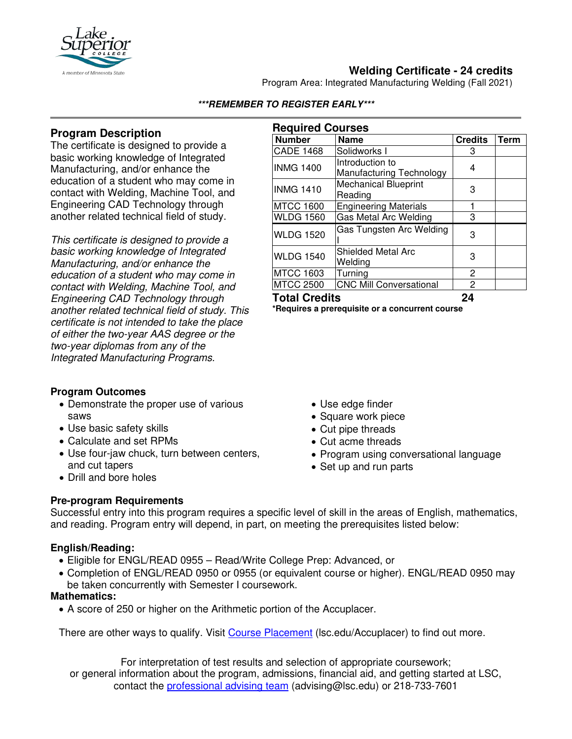

# **Welding Certificate - 24 credits**

Program Area: Integrated Manufacturing Welding (Fall 2021)

## **Program Description**

The certificate is designed to provide a basic working knowledge of Integrated Manufacturing, and/or enhance the education of a student who may come in contact with Welding, Machine Tool, and Engineering CAD Technology through another related technical field of study.

*This certificate is designed to provide a basic working knowledge of Integrated Manufacturing, and/or enhance the education of a student who may come in contact with Welding, Machine Tool, and Engineering CAD Technology through another related technical field of study. This certificate is not intended to take the place of either the two-year AAS degree or the two-year diplomas from any of the Integrated Manufacturing Programs.*

### **Program Outcomes**

- Demonstrate the proper use of various saws
- Use basic safety skills
- Calculate and set RPMs
- Use four-jaw chuck, turn between centers, and cut tapers
- Drill and bore holes

#### **Required Courses**

**\*\*\*REMEMBER TO REGISTER EARLY\*\*\***

| <b>Number</b>        | <b>Name</b>                    | <b>Credits</b> | Term |
|----------------------|--------------------------------|----------------|------|
| <b>CADE 1468</b>     | Solidworks I                   | 3              |      |
| <b>INMG 1400</b>     | Introduction to                | 4              |      |
|                      | Manufacturing Technology       |                |      |
| <b>INMG 1410</b>     | <b>Mechanical Blueprint</b>    | 3              |      |
|                      | Reading                        |                |      |
| <b>MTCC 1600</b>     | <b>Engineering Materials</b>   |                |      |
| <b>WLDG 1560</b>     | <b>Gas Metal Arc Welding</b>   | 3              |      |
| <b>WLDG 1520</b>     | Gas Tungsten Arc Welding       | 3              |      |
|                      |                                |                |      |
| <b>WLDG 1540</b>     | Shielded Metal Arc             | 3              |      |
|                      | Welding                        |                |      |
| <b>MTCC 1603</b>     | Turning                        | 2              |      |
| <b>MTCC 2500</b>     | <b>CNC Mill Conversational</b> | 2              |      |
| <b>Total Credits</b> |                                | 24             |      |

**\*Requires a prerequisite or a concurrent course**

- Use edge finder
- Square work piece
- Cut pipe threads
- Cut acme threads
- Program using conversational language
- Set up and run parts

### **Pre-program Requirements**

Successful entry into this program requires a specific level of skill in the areas of English, mathematics, and reading. Program entry will depend, in part, on meeting the prerequisites listed below:

### **English/Reading:**

- Eligible for ENGL/READ 0955 Read/Write College Prep: Advanced, or
- Completion of ENGL/READ 0950 or 0955 (or equivalent course or higher). ENGL/READ 0950 may be taken concurrently with Semester I coursework.

### **Mathematics:**

• A score of 250 or higher on the Arithmetic portion of the Accuplacer.

There are other ways to qualify. Visit [Course Placement](https://www.lsc.edu/course-placement/) (lsc.edu/Accuplacer) to find out more.

For interpretation of test results and selection of appropriate coursework; or general information about the program, admissions, financial aid, and getting started at LSC, contact the [professional advising team](mailto:advising@lsc.edu) (advising@lsc.edu) or 218-733-7601